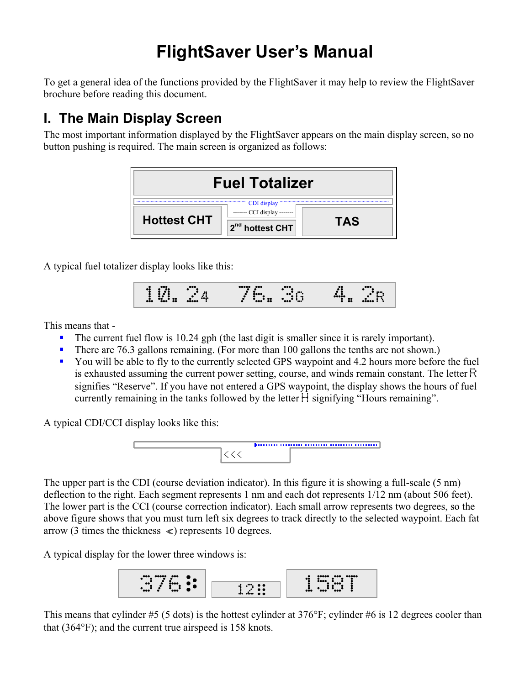# **FlightSaver User's Manual**

To get a general idea of the functions provided by the FlightSaver it may help to review the FlightSaver brochure before reading this document.

## **I. The Main Display Screen**

The most important information displayed by the FlightSaver appears on the main display screen, so no button pushing is required. The main screen is organized as follows:



A typical fuel totalizer display looks like this:

10.24 76.3G 4.2R

This means that -

- The current fuel flow is 10.24 gph (the last digit is smaller since it is rarely important).
- There are 76.3 gallons remaining. (For more than 100 gallons the tenths are not shown.)
- You will be able to fly to the currently selected GPS waypoint and 4.2 hours more before the fuel is exhausted assuming the current power setting, course, and winds remain constant. The letter  $\mathbb{R}$ signifies "Reserve". If you have not entered a GPS waypoint, the display shows the hours of fuel currently remaining in the tanks followed by the letter  $\mathbb{H}$  signifying "Hours remaining".

A typical CDI/CCI display looks like this:



The upper part is the CDI (course deviation indicator). In this figure it is showing a full-scale (5 nm) deflection to the right. Each segment represents 1 nm and each dot represents 1/12 nm (about 506 feet). The lower part is the CCI (course correction indicator). Each small arrow represents two degrees, so the above figure shows that you must turn left six degrees to track directly to the selected waypoint. Each fat arrow (3 times the thickness  $\ll$ ) represents 10 degrees.

A typical display for the lower three windows is:



This means that cylinder #5 (5 dots) is the hottest cylinder at 376°F; cylinder #6 is 12 degrees cooler than that (364°F); and the current true airspeed is 158 knots.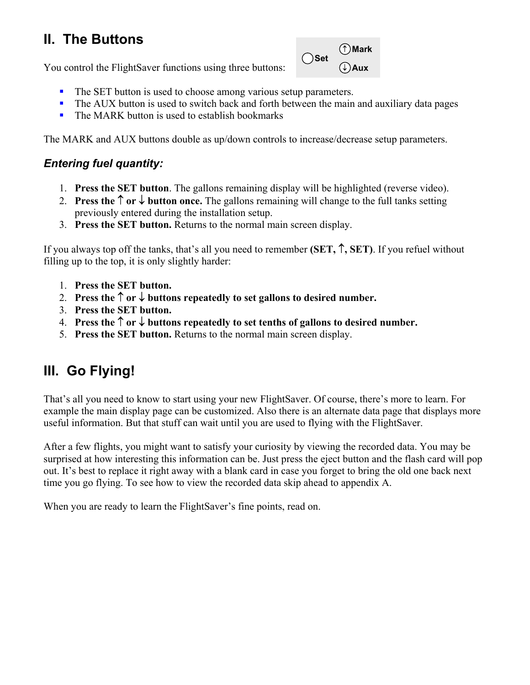# **II. The Buttons**

You control the FlightSaver functions using three buttons:



- The SET button is used to choose among various setup parameters.
- The AUX button is used to switch back and forth between the main and auxiliary data pages
- $\blacksquare$  The MARK button is used to establish bookmarks

The MARK and AUX buttons double as up/down controls to increase/decrease setup parameters.

#### *Entering fuel quantity:*

- 1. **Press the SET button**. The gallons remaining display will be highlighted (reverse video).
- 2. **Press the** ↑ **or** ↓ **button once.** The gallons remaining will change to the full tanks setting previously entered during the installation setup.
- 3. **Press the SET button.** Returns to the normal main screen display.

If you always top off the tanks, that's all you need to remember **(SET,** ↑**, SET)**. If you refuel without filling up to the top, it is only slightly harder:

- 1. **Press the SET button.**
- 2. **Press the** ↑ **or** ↓ **buttons repeatedly to set gallons to desired number.**
- 3. **Press the SET button.**
- 4. **Press the** ↑ **or** ↓ **buttons repeatedly to set tenths of gallons to desired number.**
- 5. **Press the SET button.** Returns to the normal main screen display.

# **III. Go Flying!**

That's all you need to know to start using your new FlightSaver. Of course, there's more to learn. For example the main display page can be customized. Also there is an alternate data page that displays more useful information. But that stuff can wait until you are used to flying with the FlightSaver.

After a few flights, you might want to satisfy your curiosity by viewing the recorded data. You may be surprised at how interesting this information can be. Just press the eject button and the flash card will pop out. It's best to replace it right away with a blank card in case you forget to bring the old one back next time you go flying. To see how to view the recorded data skip ahead to appendix A.

When you are ready to learn the FlightSaver's fine points, read on.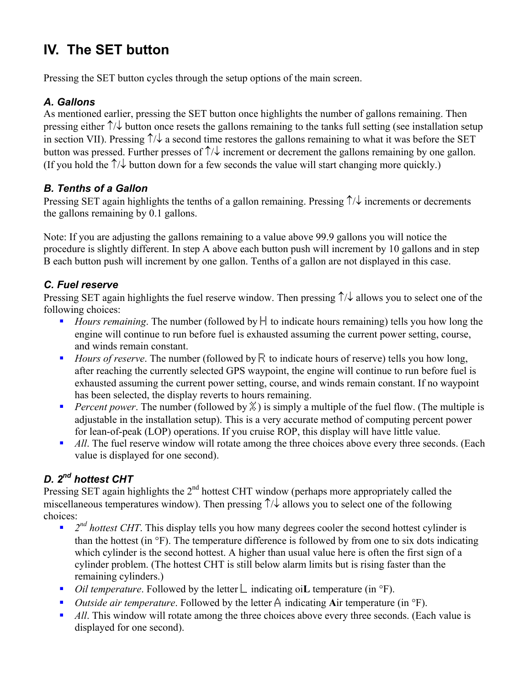# **IV. The SET button**

Pressing the SET button cycles through the setup options of the main screen.

### *A. Gallons*

As mentioned earlier, pressing the SET button once highlights the number of gallons remaining. Then pressing either ↑/↓ button once resets the gallons remaining to the tanks full setting (see installation setup in section VII). Pressing  $\uparrow/\downarrow$  a second time restores the gallons remaining to what it was before the SET button was pressed. Further presses of  $\uparrow/\downarrow$  increment or decrement the gallons remaining by one gallon. (If you hold the  $\uparrow/\downarrow$  button down for a few seconds the value will start changing more quickly.)

### *B. Tenths of a Gallon*

Pressing SET again highlights the tenths of a gallon remaining. Pressing ↑/↓ increments or decrements the gallons remaining by 0.1 gallons.

Note: If you are adjusting the gallons remaining to a value above 99.9 gallons you will notice the procedure is slightly different. In step A above each button push will increment by 10 gallons and in step B each button push will increment by one gallon. Tenths of a gallon are not displayed in this case.

### *C. Fuel reserve*

Pressing SET again highlights the fuel reserve window. Then pressing ↑/↓ allows you to select one of the following choices:

- *Hours remaining*. The number (followed by  $\frac{1}{2}$  to indicate hours remaining) tells you how long the engine will continue to run before fuel is exhausted assuming the current power setting, course, and winds remain constant.
- *Hours of reserve.* The number (followed by  $\ddot{\mathbb{R}}$  to indicate hours of reserve) tells you how long, after reaching the currently selected GPS waypoint, the engine will continue to run before fuel is exhausted assuming the current power setting, course, and winds remain constant. If no waypoint has been selected, the display reverts to hours remaining.
- **Percent power.** The number (followed by  $\ddot{x}$ ) is simply a multiple of the fuel flow. (The multiple is adjustable in the installation setup). This is a very accurate method of computing percent power for lean-of-peak (LOP) operations. If you cruise ROP, this display will have little value.
- *All*. The fuel reserve window will rotate among the three choices above every three seconds. (Each value is displayed for one second).

### *D. 2nd hottest CHT*

Pressing SET again highlights the  $2<sup>nd</sup>$  hottest CHT window (perhaps more appropriately called the miscellaneous temperatures window). Then pressing  $\uparrow/\downarrow$  allows you to select one of the following choices:

- $2^{nd}$  *2<sup>nd</sup> hottest CHT*. This display tells you how many degrees cooler the second hottest cylinder is than the hottest (in °F). The temperature difference is followed by from one to six dots indicating which cylinder is the second hottest. A higher than usual value here is often the first sign of a cylinder problem. (The hottest CHT is still below alarm limits but is rising faster than the remaining cylinders.)
- *Oil temperature*. Followed by the letter <u>L</u> indicating oi**L** temperature (in °F).
- *Outside air temperature*. Followed by the letter  $\hat{A}$  indicating Air temperature (in  ${}^{\circ}$ F).
- **All**. This window will rotate among the three choices above every three seconds. (Each value is displayed for one second).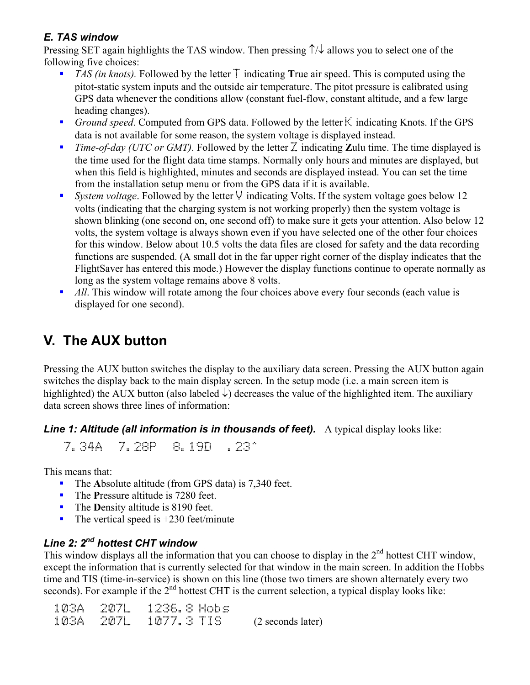#### *E. TAS window*

Pressing SET again highlights the TAS window. Then pressing ↑/↓ allows you to select one of the following five choices:

- *TAS (in knots).* Followed by the letter  $\overline{T}$  indicating **True** air speed. This is computed using the pitot-static system inputs and the outside air temperature. The pitot pressure is calibrated using GPS data whenever the conditions allow (constant fuel-flow, constant altitude, and a few large heading changes).
- **Ground speed. Computed from GPS data. Followed by the letter**  $\mathbb{K}$  **indicating Knots. If the GPS** data is not available for some reason, the system voltage is displayed instead.
- *Time-of-day (UTC or GMT)*. Followed by the letter  $\overline{Z}$  indicating **Z**ulu time. The time displayed is the time used for the flight data time stamps. Normally only hours and minutes are displayed, but when this field is highlighted, minutes and seconds are displayed instead. You can set the time from the installation setup menu or from the GPS data if it is available.
- **System voltage.** Followed by the letter  $\vee$  indicating Volts. If the system voltage goes below 12 volts (indicating that the charging system is not working properly) then the system voltage is shown blinking (one second on, one second off) to make sure it gets your attention. Also below 12 volts, the system voltage is always shown even if you have selected one of the other four choices for this window. Below about 10.5 volts the data files are closed for safety and the data recording functions are suspended. (A small dot in the far upper right corner of the display indicates that the FlightSaver has entered this mode.) However the display functions continue to operate normally as long as the system voltage remains above 8 volts.
- **All**. This window will rotate among the four choices above every four seconds (each value is displayed for one second).

# **V. The AUX button**

Pressing the AUX button switches the display to the auxiliary data screen. Pressing the AUX button again switches the display back to the main display screen. In the setup mode (i.e. a main screen item is highlighted) the AUX button (also labeled  $\downarrow$ ) decreases the value of the highlighted item. The auxiliary data screen shows three lines of information:

**Line 1: Altitude (all information is in thousands of feet).** A typical display looks like:

7.34A 7.28P 8.19D .23^

This means that:

- The **A**bsolute altitude (from GPS data) is 7,340 feet.
- The **Pressure altitude is 7280 feet.**
- The **D**ensity altitude is 8190 feet.
- The vertical speed is  $+230$  feet/minute

#### *Line 2: 2nd hottest CHT window*

This window displays all the information that you can choose to display in the 2<sup>nd</sup> hottest CHT window, except the information that is currently selected for that window in the main screen. In addition the Hobbs time and TIS (time-in-service) is shown on this line (those two timers are shown alternately every two seconds). For example if the  $2<sup>nd</sup>$  hottest CHT is the current selection, a typical display looks like:

| 103A -    | - 2071 | -1236.8 Hobs  |                   |
|-----------|--------|---------------|-------------------|
| 103A 207L |        | $-1077.3$ TIS | (2 seconds later) |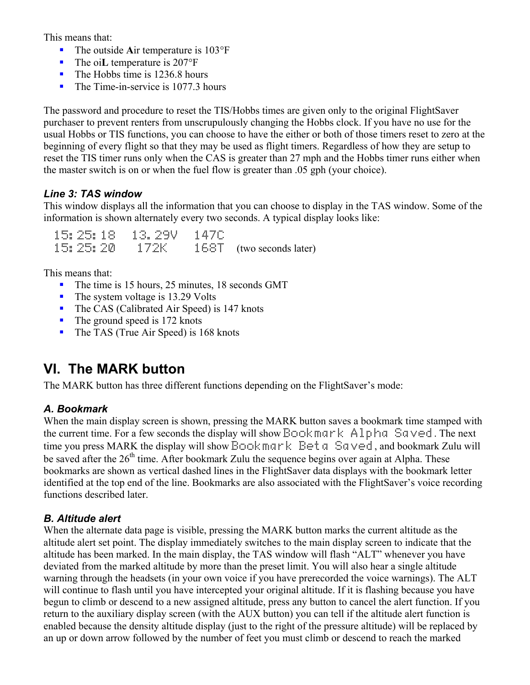This means that:

- The outside Air temperature is 103°F
- The oi**L** temperature is 207°F
- $\blacksquare$  The Hobbs time is 1236.8 hours
- The Time-in-service is 1077.3 hours

The password and procedure to reset the TIS/Hobbs times are given only to the original FlightSaver purchaser to prevent renters from unscrupulously changing the Hobbs clock. If you have no use for the usual Hobbs or TIS functions, you can choose to have the either or both of those timers reset to zero at the beginning of every flight so that they may be used as flight timers. Regardless of how they are setup to reset the TIS timer runs only when the CAS is greater than 27 mph and the Hobbs timer runs either when the master switch is on or when the fuel flow is greater than .05 gph (your choice).

#### *Line 3: TAS window*

This window displays all the information that you can choose to display in the TAS window. Some of the information is shown alternately every two seconds. A typical display looks like:

|          |      | - 1470 |                            |
|----------|------|--------|----------------------------|
| 15:25:20 | 172K |        | $168T$ (two seconds later) |

This means that:

- The time is 15 hours, 25 minutes, 18 seconds GMT
- $\blacksquare$  The system voltage is 13.29 Volts
- The CAS (Calibrated Air Speed) is 147 knots
- The ground speed is 172 knots
- The TAS (True Air Speed) is 168 knots

### **VI. The MARK button**

The MARK button has three different functions depending on the FlightSaver's mode:

#### *A. Bookmark*

When the main display screen is shown, pressing the MARK button saves a bookmark time stamped with the current time. For a few seconds the display will show  $\mathbb{B}$ cokmark Alpha Saved. The next time you press MARK the display will show Book mark Beta Saved, and bookmark Zulu will be saved after the  $26<sup>th</sup>$  time. After bookmark Zulu the sequence begins over again at Alpha. These bookmarks are shown as vertical dashed lines in the FlightSaver data displays with the bookmark letter identified at the top end of the line. Bookmarks are also associated with the FlightSaver's voice recording functions described later.

#### *B. Altitude alert*

When the alternate data page is visible, pressing the MARK button marks the current altitude as the altitude alert set point. The display immediately switches to the main display screen to indicate that the altitude has been marked. In the main display, the TAS window will flash "ALT" whenever you have deviated from the marked altitude by more than the preset limit. You will also hear a single altitude warning through the headsets (in your own voice if you have prerecorded the voice warnings). The ALT will continue to flash until you have intercepted your original altitude. If it is flashing because you have begun to climb or descend to a new assigned altitude, press any button to cancel the alert function. If you return to the auxiliary display screen (with the AUX button) you can tell if the altitude alert function is enabled because the density altitude display (just to the right of the pressure altitude) will be replaced by an up or down arrow followed by the number of feet you must climb or descend to reach the marked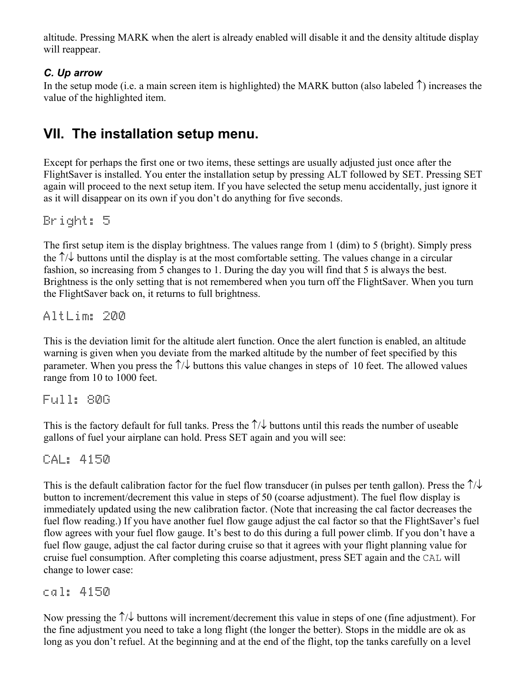altitude. Pressing MARK when the alert is already enabled will disable it and the density altitude display will reappear.

#### *C. Up arrow*

In the setup mode (i.e. a main screen item is highlighted) the MARK button (also labeled  $\uparrow$ ) increases the value of the highlighted item.

### **VII. The installation setup menu.**

Except for perhaps the first one or two items, these settings are usually adjusted just once after the FlightSaver is installed. You enter the installation setup by pressing ALT followed by SET. Pressing SET again will proceed to the next setup item. If you have selected the setup menu accidentally, just ignore it as it will disappear on its own if you don't do anything for five seconds.

Bright: 5

The first setup item is the display brightness. The values range from 1 (dim) to 5 (bright). Simply press the ↑/↓ buttons until the display is at the most comfortable setting. The values change in a circular fashion, so increasing from 5 changes to 1. During the day you will find that 5 is always the best. Brightness is the only setting that is not remembered when you turn off the FlightSaver. When you turn the FlightSaver back on, it returns to full brightness.

AltLim: 200

This is the deviation limit for the altitude alert function. Once the alert function is enabled, an altitude warning is given when you deviate from the marked altitude by the number of feet specified by this parameter. When you press the  $\uparrow/\downarrow$  buttons this value changes in steps of 10 feet. The allowed values range from 10 to 1000 feet.

Full: 80G

This is the factory default for full tanks. Press the  $\uparrow/\downarrow$  buttons until this reads the number of useable gallons of fuel your airplane can hold. Press SET again and you will see:

CAL: 4150

This is the default calibration factor for the fuel flow transducer (in pulses per tenth gallon). Press the  $\uparrow/\downarrow$ button to increment/decrement this value in steps of 50 (coarse adjustment). The fuel flow display is immediately updated using the new calibration factor. (Note that increasing the cal factor decreases the fuel flow reading.) If you have another fuel flow gauge adjust the cal factor so that the FlightSaver's fuel flow agrees with your fuel flow gauge. It's best to do this during a full power climb. If you don't have a fuel flow gauge, adjust the cal factor during cruise so that it agrees with your flight planning value for cruise fuel consumption. After completing this coarse adjustment, press SET again and the CAL will change to lower case:

cal: 4150

Now pressing the ↑/↓ buttons will increment/decrement this value in steps of one (fine adjustment). For the fine adjustment you need to take a long flight (the longer the better). Stops in the middle are ok as long as you don't refuel. At the beginning and at the end of the flight, top the tanks carefully on a level